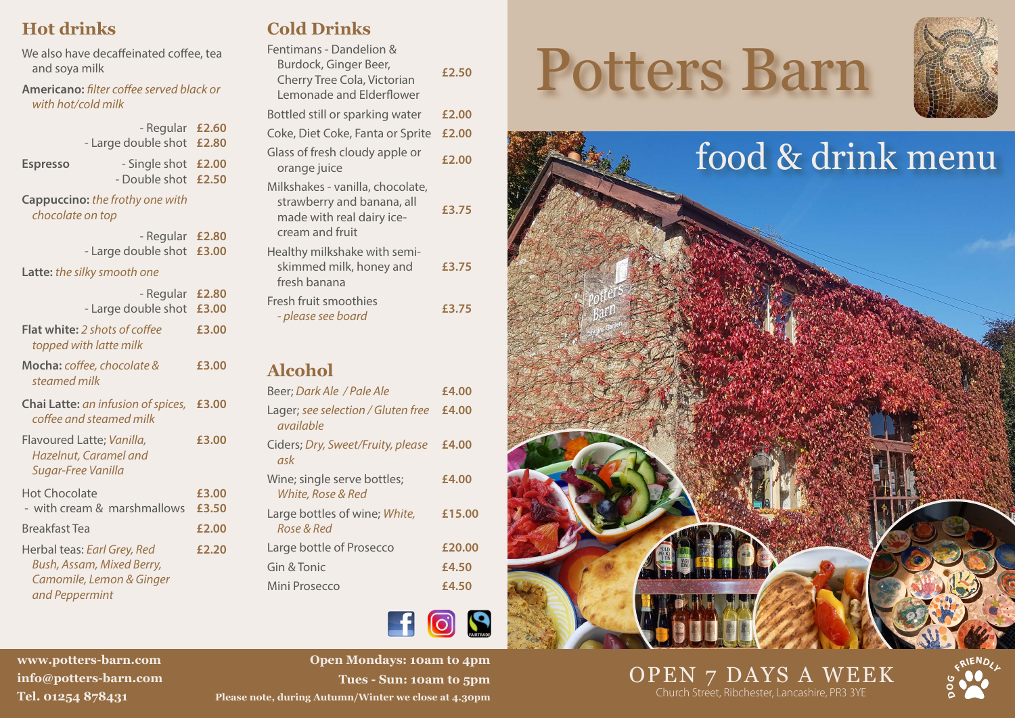# **Hot drinks**

We also have decaffeinated coffee, tea and soya milk

**Americano:** *filter coffee served black or with hot/cold milk*

|                                                     | - Regular £2.60<br>- Large double shot £2.80 |  |
|-----------------------------------------------------|----------------------------------------------|--|
| <b>Espresso</b>                                     | - Single shot £2.00<br>- Double shot £2.50   |  |
| Cappuccino: the frothy one with<br>chocolate on top |                                              |  |

| - Regular £2.80           |  |
|---------------------------|--|
| - Large double shot £3.00 |  |

#### **Latte:** *the silky smooth one*

| - Regular<br>- Large double shot                                                                              | £2.80<br>£3.00 |
|---------------------------------------------------------------------------------------------------------------|----------------|
| <b>Flat white:</b> 2 shots of coffee<br>topped with latte milk                                                | £3.00          |
| <b>Mocha:</b> coffee, chocolate &<br>steamed milk                                                             | £3.00          |
| Chai Latte: an infusion of spices,<br>coffee and steamed milk                                                 | £3.00          |
| Flavoured Latte; Vanilla,<br>Hazelnut, Caramel and<br>Sugar-Free Vanilla                                      | £3.00          |
| Hot Chocolate<br>- with cream & marshmallows                                                                  | £3.00<br>£3.50 |
| Breakfast Tea                                                                                                 | £2.00          |
| Herbal teas: <i>Earl Grey, Red</i><br>Bush, Assam, Mixed Berry,<br>Camomile, Lemon & Ginger<br>and Peppermint | £2.20          |

# **Cold Drinks**

| Fentimans - Dandelion &<br>Burdock, Ginger Beer,<br>Cherry Tree Cola, Victorian<br>Lemonade and Elderflower    | £2.50 |
|----------------------------------------------------------------------------------------------------------------|-------|
| Bottled still or sparking water                                                                                | £2.00 |
| Coke, Diet Coke, Fanta or Sprite                                                                               | £2.00 |
| Glass of fresh cloudy apple or<br>orange juice                                                                 | £2.00 |
| Milkshakes - vanilla, chocolate,<br>strawberry and banana, all<br>made with real dairy ice-<br>cream and fruit | £3.75 |
| Healthy milkshake with semi-<br>skimmed milk, honey and<br>fresh banana                                        | £3.75 |
| Fresh fruit smoothies<br>- please see board                                                                    | £3.75 |
|                                                                                                                |       |

# **Alcohol**

| Beer; Dark Ale / Pale Ale                        | £4.00  |
|--------------------------------------------------|--------|
| Lager; see selection / Gluten free<br>available  | £4.00  |
| Ciders; Dry, Sweet/Fruity, please<br>ask         | £4.00  |
| Wine; single serve bottles;<br>White, Rose & Red | £4.00  |
| Large bottles of wine; White,<br>Rose & Red      | £15.00 |
| Large bottle of Prosecco                         | £20.00 |
| Gin & Tonic                                      | £4.50  |
| Mini Prosecco                                    | £4.50  |
|                                                  |        |

# FIGS

**info@potters-barn.com Tel. 01254 878431**

**www.potters-barn.com R**<br> **R** I **R** I **R** I **R** I **R** I **R** I **R** I **R** I **R** I **R** I **R** I **R** I **R** I **R** I **R** I **R** I **R** I **R** I **R** I **R** I **R Open Mondays: 10am to 4pm Tues - Sun: 10am to 5pm Please note, during Autumn/Winter we close at 4.30pm**

# Potters Barn





# OPEN 7 DAYS A WEEK Church Street, Ribchester, Lancashire, PR3 3YE **<sup>D</sup>**